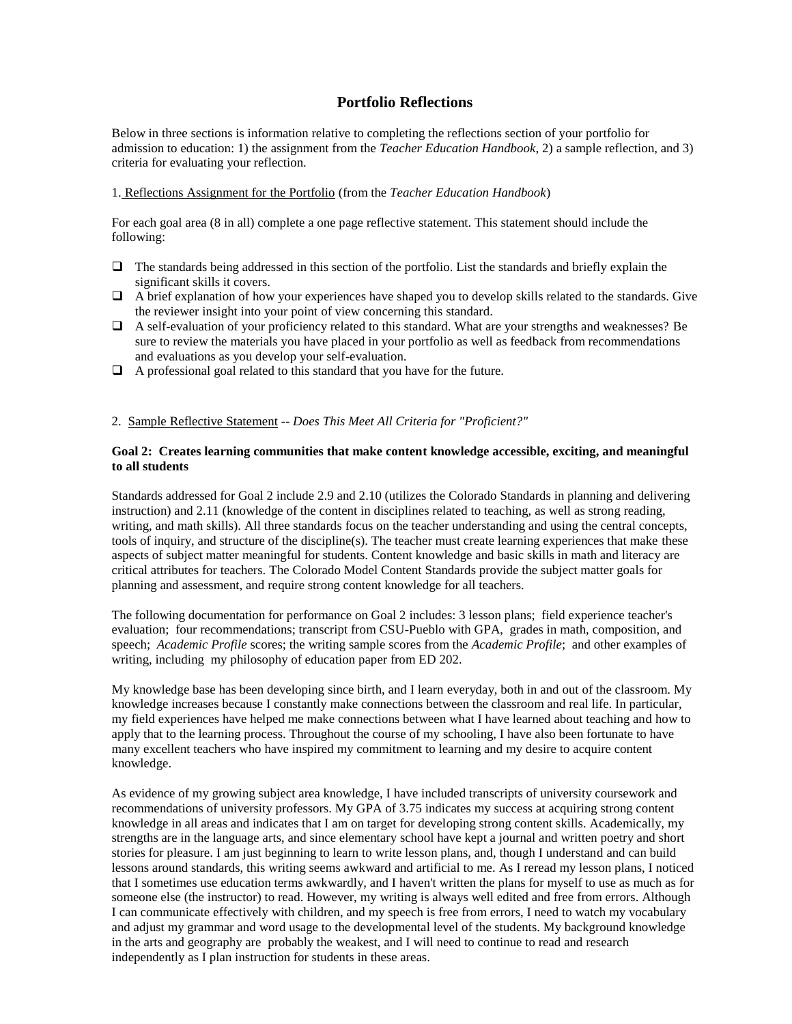## **Portfolio Reflections**

Below in three sections is information relative to completing the reflections section of your portfolio for admission to education: 1) the assignment from the *Teacher Education Handbook*, 2) a sample reflection, and 3) criteria for evaluating your reflection.

## 1. Reflections Assignment for the Portfolio (from the *Teacher Education Handbook*)

For each goal area (8 in all) complete a one page reflective statement. This statement should include the following:

- $\Box$  The standards being addressed in this section of the portfolio. List the standards and briefly explain the significant skills it covers.
- $\Box$  A brief explanation of how your experiences have shaped you to develop skills related to the standards. Give the reviewer insight into your point of view concerning this standard.
- A self-evaluation of your proficiency related to this standard. What are your strengths and weaknesses? Be sure to review the materials you have placed in your portfolio as well as feedback from recommendations and evaluations as you develop your self-evaluation.
- $\Box$  A professional goal related to this standard that you have for the future.

2. Sample Reflective Statement -- *Does This Meet All Criteria for "Proficient?"*

## **Goal 2: Creates learning communities that make content knowledge accessible, exciting, and meaningful to all students**

Standards addressed for Goal 2 include 2.9 and 2.10 (utilizes the Colorado Standards in planning and delivering instruction) and 2.11 (knowledge of the content in disciplines related to teaching, as well as strong reading, writing, and math skills). All three standards focus on the teacher understanding and using the central concepts, tools of inquiry, and structure of the discipline(s). The teacher must create learning experiences that make these aspects of subject matter meaningful for students. Content knowledge and basic skills in math and literacy are critical attributes for teachers. The Colorado Model Content Standards provide the subject matter goals for planning and assessment, and require strong content knowledge for all teachers.

The following documentation for performance on Goal 2 includes: 3 lesson plans; field experience teacher's evaluation; four recommendations; transcript from CSU-Pueblo with GPA, grades in math, composition, and speech; *Academic Profile* scores; the writing sample scores from the *Academic Profile*; and other examples of writing, including my philosophy of education paper from ED 202.

My knowledge base has been developing since birth, and I learn everyday, both in and out of the classroom. My knowledge increases because I constantly make connections between the classroom and real life. In particular, my field experiences have helped me make connections between what I have learned about teaching and how to apply that to the learning process. Throughout the course of my schooling, I have also been fortunate to have many excellent teachers who have inspired my commitment to learning and my desire to acquire content knowledge.

As evidence of my growing subject area knowledge, I have included transcripts of university coursework and recommendations of university professors. My GPA of 3.75 indicates my success at acquiring strong content knowledge in all areas and indicates that I am on target for developing strong content skills. Academically, my strengths are in the language arts, and since elementary school have kept a journal and written poetry and short stories for pleasure. I am just beginning to learn to write lesson plans, and, though I understand and can build lessons around standards, this writing seems awkward and artificial to me. As I reread my lesson plans, I noticed that I sometimes use education terms awkwardly, and I haven't written the plans for myself to use as much as for someone else (the instructor) to read. However, my writing is always well edited and free from errors. Although I can communicate effectively with children, and my speech is free from errors, I need to watch my vocabulary and adjust my grammar and word usage to the developmental level of the students. My background knowledge in the arts and geography are probably the weakest, and I will need to continue to read and research independently as I plan instruction for students in these areas.